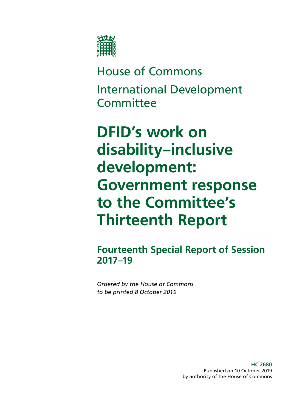

# House of Commons International Development **Committee**

# **DFID's work on disability–inclusive development: Government response to the Committee's Thirteenth Report**

# **Fourteenth Special Report of Session 2017–19**

*Ordered by the House of Commons to be printed 8 October 2019*

> **HC 2680** Published on 10 October 2019 by authority of the House of Commons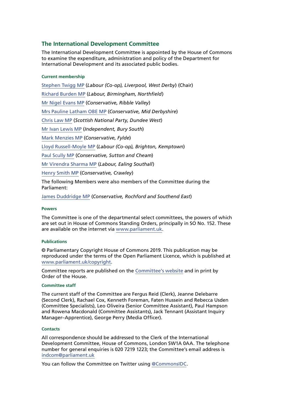# **The International Development Committee**

The International Development Committee is appointed by the House of Commons to examine the expenditure, administration and policy of the Department for International Development and its associated public bodies.

#### **Current membership**

[Stephen Twigg MP](https://www.parliament.uk/biographies/commons/stephen-twigg/167) (*Labour (Co-op), Liverpool, West Derby*) (Chair) [Richard Burden MP](https://www.parliament.uk/biographies/commons/richard-burden/301) (*Labour, Birmingham, Northfield*) [Mr Nigel Evans MP](https://www.parliament.uk/biographies/commons/mr-nigel-evans/474) (*Conservative, Ribble Valley*) [Mrs Pauline Latham OBE MP](https://www.parliament.uk/biographies/commons/mrs-pauline-latham/4025) (*Conservative, Mid Derbyshire*) [Chris Law MP](https://www.parliament.uk/biographies/commons/chris-law/4403) (*Scottish National Party, Dundee West*) [Mr Ivan Lewis MP](https://www.parliament.uk/biographies/commons/mr-ivan-lewis/441) (*Independent, Bury South*) [Mark Menzies MP](https://www.parliament.uk/biographies/commons/mark-menzies/3998) (*Conservative, Fylde*) [Lloyd Russell-Moyle MP](https://www.parliament.uk/biographies/commons/lloyd-russell-moyle/4615) (*Labour (Co-op), Brighton, Kemptown*) [Paul Scully MP](https://www.parliament.uk/biographies/commons/paul-scully/4414) (*Conservative, Sutton and Cheam*) [Mr Virendra Sharma MP](https://www.parliament.uk/biographies/commons/mr-virendra-sharma/1604) (*Labour, Ealing Southall*) [Henry Smith MP](https://www.parliament.uk/biographies/commons/henry-smith/3960) (*Conservative, Crawley*)

The following Members were also members of the Committee during the Parliament:

[James Duddridge MP](https://www.parliament.uk/biographies/commons/James-Duddridge/1559) (*Conservative, Rochford and Southend East*)

#### **Powers**

The Committee is one of the departmental select committees, the powers of which are set out in House of Commons Standing Orders, principally in SO No. 152. These are available on the internet via [www.parliament.uk.](http://www.parliament.uk)

#### **Publications**

© Parliamentary Copyright House of Commons 2019. This publication may be reproduced under the terms of the Open Parliament Licence, which is published at [www.parliament.uk/copyright](http://www.parliament.uk/copyright).

Committee reports are published on the [Committee's website](http://www.parliament.uk/business/committees/committees-a-z/commons-select/international-development-committee/) and in print by Order of the House.

#### **Committee staff**

The current staff of the Committee are Fergus Reid (Clerk), Jeanne Delebarre (Second Clerk), Rachael Cox, Kenneth Foreman, Faten Hussein and Rebecca Usden (Committee Specialists), Leo Oliveira (Senior Committee Assistant), Paul Hampson and Rowena Macdonald (Committee Assistants), Jack Tennant (Assistant Inquiry Manager–Apprentice), George Perry (Media Officer).

#### **Contacts**

All correspondence should be addressed to the Clerk of the International Development Committee, House of Commons, London SW1A 0AA. The telephone number for general enquiries is 020 7219 1223; the Committee's email address is [indcom@parliament.uk](mailto:indcom%40parliament.uk?subject=)

You can follow the Committee on Twitter using [@CommonsIDC.](https://twitter.com/CommonsIDC?ref_src=twsrc%5Egoogle%7Ctwcamp%5Eserp%7Ctwgr%5Eauthor)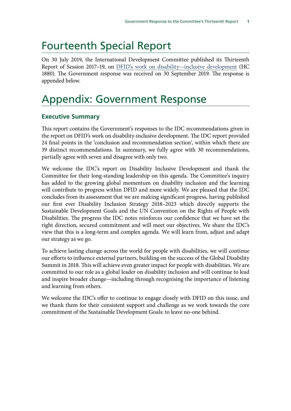# Fourteenth Special Report

On 30 July 2019, the International Development Committee published its Thirteenth Report of Session 2017–19, on [DFID's work on disability—inclusive development](https://publications.parliament.uk/pa/cm201719/cmselect/cmintdev/1880/1880.pdf) (HC 1880). The Government response was received on 30 September 2019. The response is appended below.

# Appendix: Government Response

# **Executive Summary**

This report contains the Government's responses to the IDC recommendations given in the report on DFID's work on disability-inclusive development. The IDC report provided 24 final points in the 'conclusion and recommendation section', within which there are 39 distinct recommendations. In summary, we fully agree with 30 recommendations, partially agree with seven and disagree with only two.

We welcome the IDC's report on Disability Inclusive Development and thank the Committee for their long-standing leadership on this agenda. The Committee's inquiry has added to the growing global momentum on disability inclusion and the learning will contribute to progress within DFID and more widely. We are pleased that the IDC concludes from its assessment that we are making significant progress, having published our first ever Disability Inclusion Strategy 2018–2023 which directly supports the Sustainable Development Goals and the UN Convention on the Rights of People with Disabilities. The progress the IDC notes reinforces our confidence that we have set the right direction, secured commitment and will meet our objectives. We share the IDC's view that this is a long-term and complex agenda. We will learn from, adjust and adapt our strategy as we go.

To achieve lasting change across the world for people with disabilities, we will continue our efforts to influence external partners, building on the success of the Global Disability Summit in 2018. This will achieve even greater impact for people with disabilities. We are committed to our role as a global leader on disability inclusion and will continue to lead and inspire broader change—including through recognising the importance of listening and learning from others.

We welcome the IDC's offer to continue to engage closely with DFID on this issue, and we thank them for their consistent support and challenge as we work towards the core commitment of the Sustainable Development Goals: to leave no-one behind.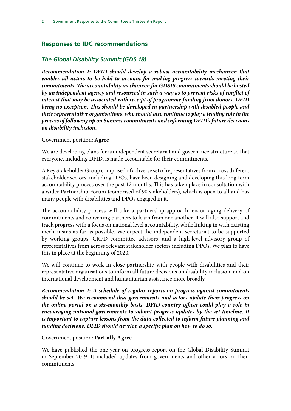# **Responses to IDC recommendations**

#### *The Global Disability Summit (GDS 18)*

*Recommendation 1: DFID should develop a robust accountability mechanism that enables all actors to be held to account for making progress towards meeting their commitments. The accountability mechanism for GDS18 commitments should be hosted*  by an independent agency and resourced in such a way as to prevent risks of conflict of *interest that may be associated with receipt of programme funding from donors, DFID*  being no exception. This should be developed in partnership with disabled people and *their representative organisations, who should also continue to play a leading role in the process of following up on Summit commitments and informing DFID's future decisions on disability inclusion.*

Government position: **Agree**

We are developing plans for an independent secretariat and governance structure so that everyone, including DFID, is made accountable for their commitments.

A Key Stakeholder Group comprised of a diverse set of representatives from across different stakeholder sectors, including DPOs, have been designing and developing this long-term accountability process over the past 12 months. This has taken place in consultation with a wider Partnership Forum (comprised of 90 stakeholders), which is open to all and has many people with disabilities and DPOs engaged in it.

The accountability process will take a partnership approach, encouraging delivery of commitments and convening partners to learn from one another. It will also support and track progress with a focus on national level accountability, while linking in with existing mechanisms as far as possible. We expect the independent secretariat to be supported by working groups, CRPD committee advisors, and a high-level advisory group of representatives from across relevant stakeholder sectors including DPOs. We plan to have this in place at the beginning of 2020.

We will continue to work in close partnership with people with disabilities and their representative organisations to inform all future decisions on disability inclusion, and on international development and humanitarian assistance more broadly.

*Recommendation 2: A schedule of regular reports on progress against commitments should be set. We recommend that governments and actors update their progress on the online portal on a six-monthly basis. DFID country offices could play a role in encouraging national governments to submit progress updates by the set timeline. It is important to capture lessons from the data collected to inform future planning and funding decisions. DFID should develop a specific plan on how to do so.*

#### Government position: **Partially Agree**

We have published the one-year-on progress report on the Global Disability Summit in September 2019. It included updates from governments and other actors on their commitments.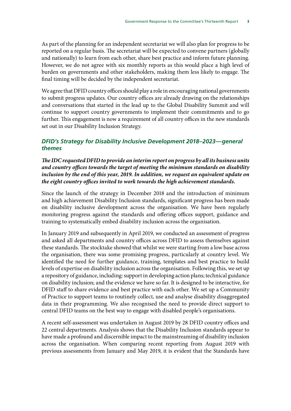As part of the planning for an independent secretariat we will also plan for progress to be reported on a regular basis. The secretariat will be expected to convene partners (globally and nationally) to learn from each other, share best practice and inform future planning. However, we do not agree with six monthly reports as this would place a high level of burden on governments and other stakeholders, making them less likely to engage. The final timing will be decided by the independent secretariat.

We agree that DFID country offices should play a role in encouraging national governments to submit progress updates. Our country offices are already drawing on the relationships and conversations that started in the lead up to the Global Disability Summit and will continue to support country governments to implement their commitments and to go further. This engagement is now a requirement of all country offices in the new standards set out in our Disability Inclusion Strategy.

## *DFID's Strategy for Disability Inclusive Development 2018–2023—general themes*

*The IDC requested DFID to provide an interim report on progress by all its business units and country offices towards the target of meeting the minimum standards on disability inclusion by the end of this year, 2019. In addition, we request an equivalent update on the eight country offices invited to work towards the high achievement standards.*

Since the launch of the strategy in December 2018 and the introduction of minimum and high achievement Disability Inclusion standards, significant progress has been made on disability inclusive development across the organisation. We have been regularly monitoring progress against the standards and offering offices support, guidance and training to systematically embed disability inclusion across the organisation.

In January 2019 and subsequently in April 2019, we conducted an assessment of progress and asked all departments and country offices across DFID to assess themselves against these standards. The stocktake showed that whilst we were starting from a low base across the organisation, there was some promising progress, particularly at country level. We identified the need for further guidance, training, templates and best practice to build levels of expertise on disability inclusion across the organisation. Following this, we set up a repository of guidance, including: support in developing action plans; technical guidance on disability inclusion; and the evidence we have so far. It is designed to be interactive, for DFID staff to share evidence and best practice with each other. We set up a Community of Practice to support teams to routinely collect, use and analyse disability disaggregated data in their programming. We also recognised the need to provide direct support to central DFID teams on the best way to engage with disabled people's organisations.

A recent self-assessment was undertaken in August 2019 by 28 DFID country offices and 22 central departments. Analysis shows that the Disability Inclusion standards appear to have made a profound and discernible impact to the mainstreaming of disability inclusion across the organisation. When comparing recent reporting from August 2019 with previous assessments from January and May 2019, it is evident that the Standards have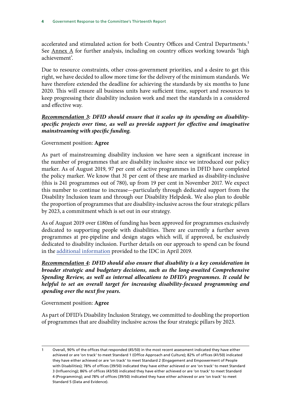accelerated and stimulated action for both Country Offices and Central Departments.<sup>1</sup> See Annex A for further analysis, including on country offices working towards 'high achievement'.

Due to resource constraints, other cross-government priorities, and a desire to get this right, we have decided to allow more time for the delivery of the minimum standards. We have therefore extended the deadline for achieving the standards by six months to June 2020. This will ensure all business units have sufficient time, support and resources to keep progressing their disability inclusion work and meet the standards in a considered and effective way.

# *Recommendation 3: DFID should ensure that it scales up its spending on disabilityspecific projects over time, as well as provide support for effective and imaginative mainstreaming with specific funding.*

#### Government position: **Agree**

As part of mainstreaming disability inclusion we have seen a significant increase in the number of programmes that are disability inclusive since we introduced our policy marker. As of August 2019, 97 per cent of active programmes in DFID have completed the policy marker. We know that 31 per cent of these are marked as disability-inclusive (this is 241 programmes out of 780), up from 19 per cent in November 2017. We expect this number to continue to increase—particularly through dedicated support from the Disability Inclusion team and through our Disability Helpdesk. We also plan to double the proportion of programmes that are disability-inclusive across the four strategic pillars by 2023, a commitment which is set out in our strategy.

As of August 2019 over £180m of funding has been approved for programmes exclusively dedicated to supporting people with disabilities. There are currently a further seven programmes at pre-pipeline and design stages which will, if approved, be exclusively dedicated to disability inclusion. Further details on our approach to spend can be found in the [additional information](http://data.parliament.uk/writtenevidence/committeeevidence.svc/evidencedocument/international-development-committee/dfids-work-on-disability/written/100360.html) provided to the IDC in April 2019.

*Recommendation 4: DFID should also ensure that disability is a key consideration in broader strategic and budgetary decisions, such as the long-awaited Comprehensive Spending Review, as well as internal allocations to DFID's programmes. It could be helpful to set an overall target for increasing disability-focused programming and spending over the next five years.*

Government position: **Agree**

As part of DFID's Disability Inclusion Strategy, we committed to doubling the proportion of programmes that are disability inclusive across the four strategic pillars by 2023.

Overall, 90% of the offices that responded (45/50) in the most recent assessment indicated they have either achieved or are 'on track' to meet Standard 1 (Office Approach and Culture); 82% of offices (41/50) indicated they have either achieved or are 'on track' to meet Standard 2 (Engagement and Empowerment of People with Disabilities); 78% of offices (39/50) indicated they have either achieved or are 'on track' to meet Standard 3 (Influencing); 86% of offices (43/50) indicated they have either achieved or are 'on track' to meet Standard 4 (Programming); and 78% of offices (39/50) indicated they have either achieved or are 'on track' to meet Standard 5 (Data and Evidence).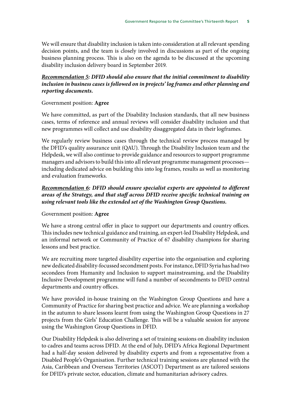We will ensure that disability inclusion is taken into consideration at all relevant spending decision points, and the team is closely involved in discussions as part of the ongoing business planning process. This is also on the agenda to be discussed at the upcoming disability inclusion delivery board in September 2019.

# *Recommendation 5: DFID should also ensure that the initial commitment to disability inclusion in business cases is followed on in projects' log frames and other planning and reporting documents.*

#### Government position: **Agree**

We have committed, as part of the Disability Inclusion standards, that all new business cases, terms of reference and annual reviews will consider disability inclusion and that new programmes will collect and use disability disaggregated data in their logframes.

We regularly review business cases through the technical review process managed by the DFID's quality assurance unit (QAU). Through the Disability Inclusion team and the Helpdesk, we will also continue to provide guidance and resources to support programme managers and advisors to build this into all relevant programme management processes including dedicated advice on building this into log frames, results as well as monitoring and evaluation frameworks.

# *Recommendation 6: DFID should ensure specialist experts are appointed to different areas of the Strategy, and that staff across DFID receive specific technical training on using relevant tools like the extended set of the Washington Group Questions.*

#### Government position: **Agree**

We have a strong central offer in place to support our departments and country offices. This includes new technical guidance and training, an expert-led Disability Helpdesk, and an informal network or Community of Practice of 67 disability champions for sharing lessons and best practice.

We are recruiting more targeted disability expertise into the organisation and exploring new dedicated disability-focussed secondment posts. For instance, DFID Syria has had two secondees from Humanity and Inclusion to support mainstreaming, and the Disability Inclusive Development programme will fund a number of secondments to DFID central departments and country offices.

We have provided in-house training on the Washington Group Questions and have a Community of Practice for sharing best practice and advice. We are planning a workshop in the autumn to share lessons learnt from using the Washington Group Questions in 27 projects from the Girls' Education Challenge. This will be a valuable session for anyone using the Washington Group Questions in DFID.

Our Disability Helpdesk is also delivering a set of training sessions on disability inclusion to cadres and teams across DFID. At the end of July, DFID's Africa Regional Department had a half-day session delivered by disability experts and from a representative from a Disabled People's Organisation. Further technical training sessions are planned with the Asia, Caribbean and Overseas Territories (ASCOT) Department as are tailored sessions for DFID's private sector, education, climate and humanitarian advisory cadres.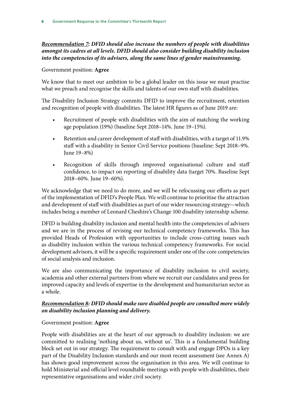# *Recommendation 7: DFID should also increase the numbers of people with disabilities amongst its cadres at all levels. DFID should also consider building disability inclusion into the competencies of its advisers, along the same lines of gender mainstreaming.*

Government position: **Agree**

We know that to meet our ambition to be a global leader on this issue we must practise what we preach and recognise the skills and talents of our own staff with disabilities.

The Disability Inclusion Strategy commits DFID to improve the recruitment, retention and recognition of people with disabilities. The latest HR figures as of June 2019 are:

- Recruitment of people with disabilities with the aim of matching the working age population (19%) (baseline Sept 2018–14%. June 19–15%).
- Retention and career development of staff with disabilities, with a target of 11.9% staff with a disability in Senior Civil Service positions (baseline: Sept 2018–9%. June 19–8%)
- Recognition of skills through improved organisational culture and staff confidence, to impact on reporting of disability data (target 70%. Baseline Sept 2018–60%. June 19–60%).

We acknowledge that we need to do more, and we will be refocussing our efforts as part of the implementation of DFID's People Plan. We will continue to prioritise the attraction and development of staff with disabilities as part of our wider resourcing strategy—which includes being a member of Leonard Cheshire's Change 100 disability internship scheme.

DFID is building disability inclusion and mental health into the competencies of advisers and we are in the process of revising our technical competency frameworks. This has provided Heads of Profession with opportunities to include cross-cutting issues such as disability inclusion within the various technical competency frameworks. For social development advisors, it will be a specific requirement under one of the core competencies of social analysis and inclusion.

We are also communicating the importance of disability inclusion to civil society, academia and other external partners from where we recruit our candidates and press for improved capacity and levels of expertise in the development and humanitarian sector as a whole.

# *Recommendation 8: DFID should make sure disabled people are consulted more widely on disability inclusion planning and delivery.*

#### Government position: **Agree**

People with disabilities are at the heart of our approach to disability inclusion: we are committed to realising 'nothing about us, without us'. This is a fundamental building block set out in our strategy. The requirement to consult with and engage DPOs is a key part of the Disability Inclusion standards and our most recent assessment (see Annex A) has shown good improvement across the organisation in this area. We will continue to hold Ministerial and official level roundtable meetings with people with disabilities, their representative organisations and wider civil society.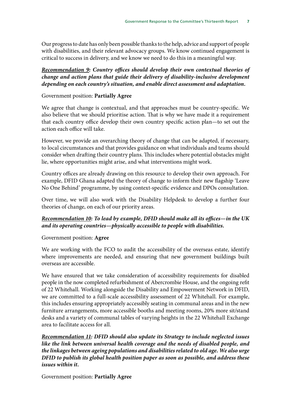Our progress to date has only been possible thanks to the help, advice and support of people with disabilities, and their relevant advocacy groups. We know continued engagement is critical to success in delivery, and we know we need to do this in a meaningful way.

# *Recommendation 9: Country offices should develop their own contextual theories of change and action plans that guide their delivery of disability-inclusive development depending on each country's situation, and enable direct assessment and adaptation.*

#### Government position: **Partially Agree**

We agree that change is contextual, and that approaches must be country-specific. We also believe that we should prioritise action. That is why we have made it a requirement that each country office develop their own country specific action plan—to set out the action each office will take.

However, we provide an overarching theory of change that can be adapted, if necessary, to local circumstances and that provides guidance on what individuals and teams should consider when drafting their country plans. This includes where potential obstacles might lie, where opportunities might arise, and what interventions might work.

Country offices are already drawing on this resource to develop their own approach. For example, DFID Ghana adapted the theory of change to inform their new flagship 'Leave No One Behind' programme, by using context-specific evidence and DPOs consultation.

Over time, we will also work with the Disability Helpdesk to develop a further four theories of change, on each of our priority areas.

# *Recommendation 10: To lead by example, DFID should make all its offices—in the UK and its operating countries—physically accessible to people with disabilities.*

Government position: **Agree**

We are working with the FCO to audit the accessibility of the overseas estate, identify where improvements are needed, and ensuring that new government buildings built overseas are accessible.

We have ensured that we take consideration of accessibility requirements for disabled people in the now completed refurbishment of Abercrombie House, and the ongoing refit of 22 Whitehall. Working alongside the Disability and Empowerment Network in DFID, we are committed to a full-scale accessibility assessment of 22 Whitehall. For example, this includes ensuring appropriately accessibly seating in communal areas and in the new furniture arrangements, more accessible booths and meeting rooms, 20% more sit/stand desks and a variety of communal tables of varying heights in the 22 Whitehall Exchange area to facilitate access for all.

*Recommendation 11: DFID should also update its Strategy to include neglected issues*  like the link between universal health coverage and the needs of disabled people, and *the linkages between ageing populations and disabilities related to old age. We also urge DFID to publish its global health position paper as soon as possible, and address these issues within it.*

Government position: **Partially Agree**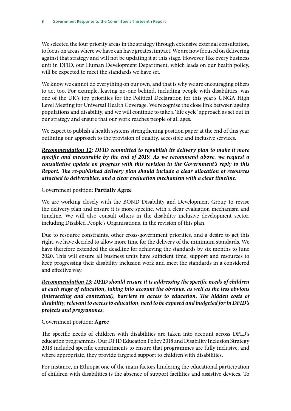We selected the four priority areas in the strategy through extensive external consultation, to focus on areas where we have can have greatest impact. We are now focused on delivering against that strategy and will not be updating it at this stage. However, like every business unit in DFID, our Human Development Department, which leads on our health policy, will be expected to meet the standards we have set.

We know we cannot do everything on our own, and that is why we are encouraging others to act too. For example, leaving no-one behind, including people with disabilities, was one of the UK's top priorities for the Political Declaration for this year's UNGA High Level Meeting for Universal Health Coverage. We recognise the close link between ageing populations and disability, and we will continue to take a 'life cycle' approach as set out in our strategy and ensure that our work reaches people of all ages.

We expect to publish a health systems strengthening position paper at the end of this year outlining our approach to the provision of quality, accessible and inclusive services.

*Recommendation 12: DFID committed to republish its delivery plan to make it more specific and measurable by the end of 2019. As we recommend above, we request a consultative update on progress with this revision in the Government's reply to this Report. The re-published delivery plan should include a clear allocation of resources attached to deliverables, and a clear evaluation mechanism with a clear timeline.*

#### Government position: **Partially Agree**

We are working closely with the BOND Disability and Development Group to revise the delivery plan and ensure it is more specific, with a clear evaluation mechanism and timeline. We will also consult others in the disability inclusive development sector, including Disabled People's Organisations, in the revision of this plan.

Due to resource constraints, other cross-government priorities, and a desire to get this right, we have decided to allow more time for the delivery of the minimum standards. We have therefore extended the deadline for achieving the standards by six months to June 2020. This will ensure all business units have sufficient time, support and resources to keep progressing their disability inclusion work and meet the standards in a considered and effective way.

*Recommendation 13: DFID should ensure it is addressing the specific needs of children at each stage of education, taking into account the obvious, as well as the less obvious (intersecting and contextual), barriers to access to education. The hidden costs of disability, relevant to access to education, need to be exposed and budgeted for in DFID's projects and programmes.*

#### Government position: **Agree**

The specific needs of children with disabilities are taken into account across DFID's education programmes. Our DFID Education Policy 2018 and Disability Inclusion Strategy 2018 included specific commitments to ensure that programmes are fully inclusive, and where appropriate, they provide targeted support to children with disabilities.

For instance, in Ethiopia one of the main factors hindering the educational participation of children with disabilities is the absence of support facilities and assistive devices. To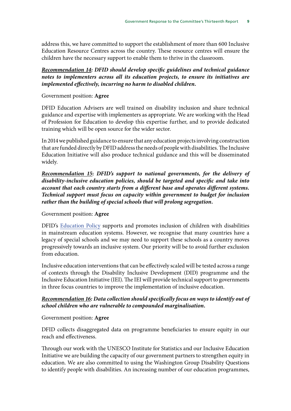address this, we have committed to support the establishment of more than 600 Inclusive Education Resource Centres across the country. These resource centres will ensure the children have the necessary support to enable them to thrive in the classroom.

#### *Recommendation 14: DFID should develop specific guidelines and technical guidance notes to implementers across all its education projects, to ensure its initiatives are implemented effectively, incurring no harm to disabled children.*

#### Government position: **Agree**

DFID Education Advisers are well trained on disability inclusion and share technical guidance and expertise with implementers as appropriate. We are working with the Head of Profession for Education to develop this expertise further, and to provide dedicated training which will be open source for the wider sector.

In 2014 we published guidance to ensure that any education projects involving construction that are funded directly by DFID address the needs of people with disabilities. The Inclusive Education Initiative will also produce technical guidance and this will be disseminated widely.

*Recommendation 15***:** *DFID's support to national governments, for the delivery of disability-inclusive education policies, should be targeted and specific and take into account that each country starts from a different base and operates different systems. Technical support must focus on capacity within government to budget for inclusion rather than the building of special schools that will prolong segregation.*

#### Government position: **Agree**

DFID's [Education Policy](https://www.gov.uk/government/publications/dfid-education-policy-2018-get-children-learning/dfid-education-policy) supports and promotes inclusion of children with disabilities in mainstream education systems. However, we recognise that many countries have a legacy of special schools and we may need to support these schools as a country moves progressively towards an inclusive system. Our priority will be to avoid further exclusion from education.

Inclusive education interventions that can be effectively scaled will be tested across a range of contexts through the Disability Inclusive Development (DID) programme and the Inclusive Education Initiative (IEI). The IEI will provide technical support to governments in three focus countries to improve the implementation of inclusive education.

# *Recommendation 16: Data collection should specifically focus on ways to identify out of school children who are vulnerable to compounded marginalisation.*

#### Government position: **Agree**

DFID collects disaggregated data on programme beneficiaries to ensure equity in our reach and effectiveness.

Through our work with the UNESCO Institute for Statistics and our Inclusive Education Initiative we are building the capacity of our government partners to strengthen equity in education. We are also committed to using the Washington Group Disability Questions to identify people with disabilities. An increasing number of our education programmes,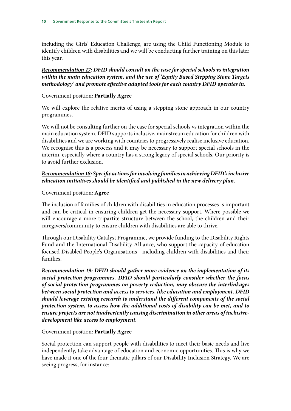including the Girls' Education Challenge, are using the Child Functioning Module to identify children with disabilities and we will be conducting further training on this later this year.

# *Recommendation 17: DFID should consult on the case for special schools vs integration within the main education system, and the use of 'Equity Based Stepping Stone Targets methodology' and promote effective adapted tools for each country DFID operates in.*

#### Government position: **Partially Agree**

We will explore the relative merits of using a stepping stone approach in our country programmes.

We will not be consulting further on the case for special schools vs integration within the main education system. DFID supports inclusive, mainstream education for children with disabilities and we are working with countries to progressively realise inclusive education. We recognise this is a process and it may be necessary to support special schools in the interim, especially where a country has a strong legacy of special schools. Our priority is to avoid further exclusion.

# *Recommendation 18: Specific actions for involving families in achieving DFID's inclusive education initiatives should be identified and published in the new delivery plan.*

#### Government position: **Agree**

The inclusion of families of children with disabilities in education processes is important and can be critical in ensuring children get the necessary support. Where possible we will encourage a more tripartite structure between the school, the children and their caregivers/community to ensure children with disabilities are able to thrive.

Through our Disability Catalyst Programme, we provide funding to the Disability Rights Fund and the International Disability Alliance, who support the capacity of education focused Disabled People's Organisations—including children with disabilities and their families.

*Recommendation 19: DFID should gather more evidence on the implementation of its social protection programmes. DFID should particularly consider whether the focus of social protection programmes on poverty reduction, may obscure the interlinkages between social protection and access to services, like education and employment. DFID should leverage existing research to understand the different components of the social protection system, to assess how the additional costs of disability can be met, and to ensure projects are not inadvertently causing discrimination in other areas of inclusivedevelopment like access to employment.*

#### Government position: **Partially Agree**

Social protection can support people with disabilities to meet their basic needs and live independently, take advantage of education and economic opportunities. This is why we have made it one of the four thematic pillars of our Disability Inclusion Strategy. We are seeing progress, for instance: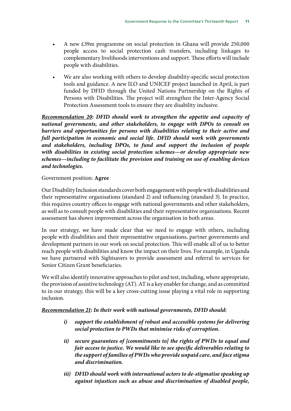- A new £39m programme on social protection in Ghana will provide 250,000 people access to social protection cash transfers, including linkages to complementary livelihoods interventions and support. These efforts will include people with disabilities.
- We are also working with others to develop disability-specific social protection tools and guidance. A new ILO and UNICEF project launched in April, is part funded by DFID through the United Nations Partnership on the Rights of Persons with Disabilities. The project will strengthen the Inter-Agency Social Protection Assessment tools to ensure they are disability inclusive.

*Recommendation 20: DFID should work to strengthen the appetite and capacity of national governments, and other stakeholders, to engage with DPOs to consult on barriers and opportunities for persons with disabilities relating to their active and full participation in economic and social life. DFID should work with governments and stakeholders, including DPOs, to fund and support the inclusion of people with disabilities in existing social protection schemes—or develop appropriate new schemes—including to facilitate the provision and training on use of enabling devices and technologies.*

#### Government position: **Agree**

Our Disability Inclusion standards cover both engagement with people with disabilities and their representative organisations (standard 2) and influencing (standard 3). In practice, this requires country offices to engage with national governments and other stakeholders, as well as to consult people with disabilities and their representative organisations. Recent assessment has shown improvement across the organisation in both areas.

In our strategy, we have made clear that we need to engage with others, including people with disabilities and their representative organisations, partner governments and development partners in our work on social protection. This will enable all of us to better reach people with disabilities and know the impact on their lives. For example, in Uganda we have partnered with Sightsavers to provide assessment and referral to services for Senior Citizen Grant beneficiaries.

We will also identify innovative approaches to pilot and test, including, where appropriate, the provision of assistive technology (AT). AT is a key enabler for change, and as committed to in our strategy, this will be a key cross-cutting issue playing a vital role in supporting inclusion.

#### *Recommendation 21: In their work with national governments, DFID should:*

- *i) support the establishment of robust and accessible systems for delivering social protection to PWDs that minimise risks of corruption.*
- *ii) secure guarantees of [commitments to] the rights of PWDs to equal and fair access to justice. We would like to see specific deliverables relating to the support of families of PWDs who provide unpaid care, and face stigma and discrimination.*
- *iii) DFID should work with international actors to de-stigmatise speaking up against injustices such as abuse and discrimination of disabled people,*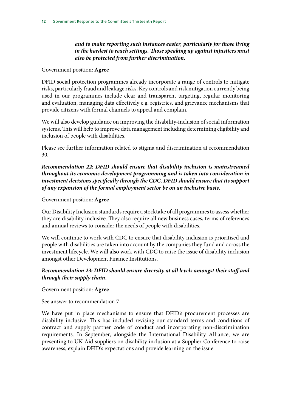#### *and to make reporting such instances easier, particularly for those living in the hardest to reach settings. Those speaking up against injustices must also be protected from further discrimination.*

Government position: **Agree**

DFID social protection programmes already incorporate a range of controls to mitigate risks, particularly fraud and leakage risks. Key controls and risk mitigation currently being used in our programmes include clear and transparent targeting, regular monitoring and evaluation, managing data effectively e.g. registries, and grievance mechanisms that provide citizens with formal channels to appeal and complain.

We will also develop guidance on improving the disability-inclusion of social information systems. This will help to improve data management including determining eligibility and inclusion of people with disabilities.

Please see further information related to stigma and discrimination at recommendation 30.

*Recommendation 22: DFID should ensure that disability inclusion is mainstreamed throughout its economic development programming and is taken into consideration in investment decisions specifically through the CDC. DFID should ensure that its support of any expansion of the formal employment sector be on an inclusive basis.*

Government position: **Agree**

Our Disability Inclusion standards require a stocktake of all programmes to assess whether they are disability inclusive. They also require all new business cases, terms of references and annual reviews to consider the needs of people with disabilities.

We will continue to work with CDC to ensure that disability inclusion is prioritised and people with disabilities are taken into account by the companies they fund and across the investment lifecycle. We will also work with CDC to raise the issue of disability inclusion amongst other Development Finance Institutions.

#### *Recommendation 23: DFID should ensure diversity at all levels amongst their staff and through their supply chain.*

Government position: **Agree**

See answer to recommendation 7.

We have put in place mechanisms to ensure that DFID's procurement processes are disability inclusive. This has included revising our standard terms and conditions of contract and supply partner code of conduct and incorporating non-discrimination requirements. In September, alongside the International Disability Alliance, we are presenting to UK Aid suppliers on disability inclusion at a Supplier Conference to raise awareness, explain DFID's expectations and provide learning on the issue.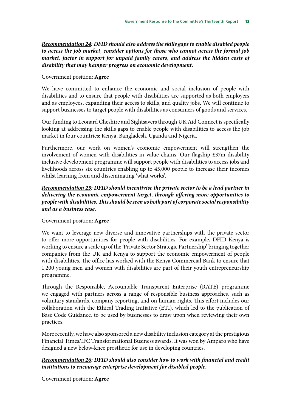*Recommendation 24: DFID should also address the skills gaps to enable disabled people to access the job market, consider options for those who cannot access the formal job market, factor in support for unpaid family carers, and address the hidden costs of disability that may hamper progress on economic development.*

#### Government position: **Agree**

We have committed to enhance the economic and social inclusion of people with disabilities and to ensure that people with disabilities are supported as both employers and as employees, expanding their access to skills, and quality jobs. We will continue to support businesses to target people with disabilities as consumers of goods and services.

Our funding to Leonard Cheshire and Sightsavers through UK Aid Connect is specifically looking at addressing the skills gaps to enable people with disabilities to access the job market in four countries: Kenya, Bangladesh, Uganda and Nigeria.

Furthermore, our work on women's economic empowerment will strengthen the involvement of women with disabilities in value chains. Our flagship £37m disability inclusive development programme will support people with disabilities to access jobs and livelihoods across six countries enabling up to 45,000 people to increase their incomes whilst learning from and disseminating 'what works'.

# *Recommendation 25: DFID should incentivise the private sector to be a lead partner in delivering the economic empowerment target, through offering more opportunities to people with disabilities. This should be seen as both part of corporate social responsibility and as a business case.*

# Government position: **Agree**

We want to leverage new diverse and innovative partnerships with the private sector to offer more opportunities for people with disabilities. For example, DFID Kenya is working to ensure a scale up of the 'Private Sector Strategic Partnership' bringing together companies from the UK and Kenya to support the economic empowerment of people with disabilities. The office has worked with the Kenya Commercial Bank to ensure that 1,200 young men and women with disabilities are part of their youth entrepreneurship programme.

Through the Responsible, Accountable Transparent Enterprise (RATE) programme we engaged with partners across a range of responsible business approaches, such as voluntary standards, company reporting, and on human rights. This effort includes our collaboration with the Ethical Trading Initiative (ETI), which led to the publication of Base Code Guidance, to be used by businesses to draw upon when reviewing their own practices.

More recently, we have also sponsored a new disability inclusion category at the prestigious Financial Times/IFC Transformational Business awards. It was won by Amparo who have designed a new below-knee prosthetic for use in developing countries.

# *Recommendation 26: DFID should also consider how to work with financial and credit institutions to encourage enterprise development for disabled people.*

Government position: **Agree**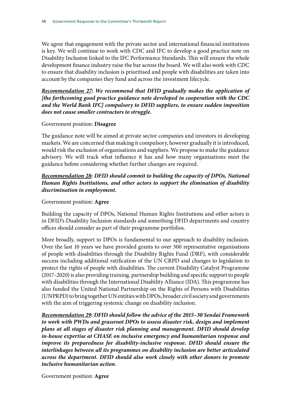We agree that engagement with the private sector and international financial institutions is key. We will continue to work with CDC and IFC to develop a good practice note on Disability Inclusion linked to the IFC Performance Standards. This will ensure the whole development finance industry raise the bar across the board. We will also work with CDC to ensure that disability inclusion is prioritised and people with disabilities are taken into account by the companies they fund and across the investment lifecycle.

*Recommendation 27: We recommend that DFID gradually makes the application of [the forthcoming good practice guidance note developed in cooperation with the CDC and the World Bank IFC] compulsory to DFID suppliers, to ensure sudden imposition does not cause smaller contractors to struggle.*

#### Government position: **Disagree**

The guidance note will be aimed at private sector companies and investors in developing markets. We are concerned that making it compulsory, however gradually it is introduced, would risk the exclusion of organisations and suppliers. We propose to make the guidance advisory. We will track what influence it has and how many organisations meet the guidance before considering whether further changes are required.

### *Recommendation 28: DFID should commit to building the capacity of DPOs, National Human Rights Institutions, and other actors to support the elimination of disability discrimination in employment.*

#### Government position: **Agree**

Building the capacity of DPOs, National Human Rights Institutions and other actors is in DFID's Disability Inclusion standards and something DFID departments and country offices should consider as part of their programme portfolios.

More broadly, support to DPOs is fundamental to our approach to disability inclusion. Over the last 10 years we have provided grants to over 300 representative organisations of people with disabilities through the Disability Rights Fund (DRF), with considerable success including additional ratification of the UN CRPD and changes to legislation to protect the rights of people with disabilities. The current Disability Catalyst Programme (2017–2020) is also providing training, partnership building and specific support to people with disabilities through the International Disability Alliance (IDA). This programme has also funded the United National Partnership on the Rights of Persons with Disabilities (UNPRPD) to bring together UN entities with DPOs, broader civil society and governments with the aim of triggering systemic change on disability inclusion.

*Recommendation 29: DFID should follow the advice of the 2015–30 Sendai Framework to work with PWDs and grassroot DPOs to assess disaster risk, design and implement plans at all stages of disaster risk planning and management. DFID should develop in-house expertise at CHASE on inclusive emergency and humanitarian response and improve its preparedness for disability-inclusive response. DFID should ensure the interlinkages between all its programmes on disability inclusion are better articulated across the department. DFID should also work closely with other donors to promote inclusive humanitarian action.*

Government position: **Agree**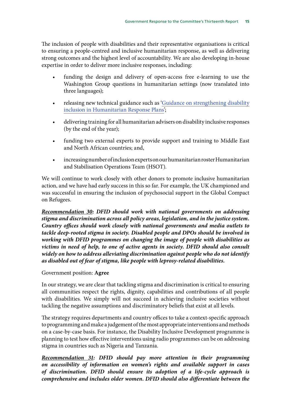The inclusion of people with disabilities and their representative organisations is critical to ensuring a people-centred and inclusive humanitarian response, as well as delivering strong outcomes and the highest level of accountability. We are also developing in-house expertise in order to deliver more inclusive responses, including:

- funding the design and delivery of open-access free e-learning to use the Washington Group questions in humanitarian settings (now translated into three languages);
- releasing new technical guidance such as ['Guidance on strengthening disability](http://www.globalprotectioncluster.org/wp-content/uploads/Guidance-on-Strengthening-Disability-Inclusion-in-Humanitarian-Response-Plans.pdf) [inclusion in Humanitarian Response Plans'](http://www.globalprotectioncluster.org/wp-content/uploads/Guidance-on-Strengthening-Disability-Inclusion-in-Humanitarian-Response-Plans.pdf);
- delivering training for all humanitarian advisers on disability inclusive responses (by the end of the year);
- funding two external experts to provide support and training to Middle East and North African countries; and,
- increasing number of inclusion experts on our humanitarian roster Humanitarian and Stabilisation Operations Team (HSOT).

We will continue to work closely with other donors to promote inclusive humanitarian action, and we have had early success in this so far. For example, the UK championed and was successful in ensuring the inclusion of psychosocial support in the Global Compact on Refugees.

*Recommendation 30: DFID should work with national governments on addressing stigma and discrimination across all policy areas, legislation, and in the justice system. Country offices should work closely with national governments and media outlets to tackle deep-rooted stigma in society. Disabled people and DPOs should be involved in working with DFID programmes on changing the image of people with disabilities as victims in need of help, to one of active agents in society. DFID should also consult widely on how to address alleviating discrimination against people who do not identify as disabled out of fear of stigma, like people with leprosy-related disabilities.*

# Government position: **Agree**

In our strategy, we are clear that tackling stigma and discrimination is critical to ensuring all communities respect the rights, dignity, capabilities and contributions of all people with disabilities. We simply will not succeed in achieving inclusive societies without tackling the negative assumptions and discriminatory beliefs that exist at all levels.

The strategy requires departments and country offices to take a context-specific approach to programming and make a judgement of the most appropriate interventions and methods on a case-by-case basis. For instance, the Disability Inclusive Development programme is planning to test how effective interventions using radio programmes can be on addressing stigma in countries such as Nigeria and Tanzania.

*Recommendation 31: DFID should pay more attention in their programming on accessibility of information on women's rights and available support in cases of discrimination. DFID should ensure its adoption of a life-cycle approach is comprehensive and includes older women. DFID should also differentiate between the*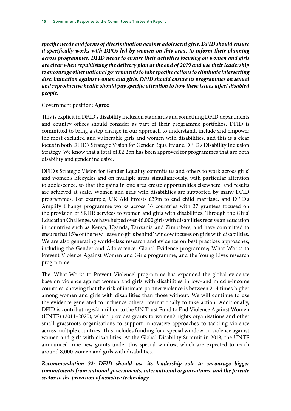*specific needs and forms of discrimination against adolescent girls. DFID should ensure it specifically works with DPOs led by women on this area, to inform their planning across programmes. DFID needs to ensure their activities focusing on women and girls are clear when republishing the delivery plan at the end of 2019 and use their leadership to encourage other national governments to take specific actions to eliminate intersecting discrimination against women and girls. DFID should ensure its programmes on sexual and reproductive health should pay specific attention to how these issues affect disabled people.*

#### Government position: **Agree**

This is explicit in DFID's disability inclusion standards and something DFID departments and country offices should consider as part of their programme portfolios. DFID is committed to bring a step change in our approach to understand, include and empower the most excluded and vulnerable girls and women with disabilities, and this is a clear focus in both DFID's Strategic Vision for Gender Equality and DFID's Disability Inclusion Strategy. We know that a total of  $£2.2$ bn has been approved for programmes that are both disability and gender inclusive.

DFID's Strategic Vision for Gender Equality commits us and others to work across girls' and women's lifecycles and on multiple areas simultaneously, with particular attention to adolescence, so that the gains in one area create opportunities elsewhere, and results are achieved at scale. Women and girls with disabilities are supported by many DFID programmes. For example, UK Aid invests £39m to end child marriage, and DFID's Amplify Change programme works across 16 countries with 37 grantees focused on the provision of SRHR services to women and girls with disabilities. Through the Girls' Education Challenge, we have helped over 46,000 girls with disabilities receive an education in countries such as Kenya, Uganda, Tanzania and Zimbabwe, and have committed to ensure that 15% of the new 'leave no girls behind' window focuses on girls with disabilities. We are also generating world-class research and evidence on best practices approaches, including the Gender and Adolescence: Global Evidence programme; What Works to Prevent Violence Against Women and Girls programme; and the Young Lives research programme.

The 'What Works to Prevent Violence' programme has expanded the global evidence base on violence against women and girls with disabilities in low–and middle-income countries, showing that the risk of intimate-partner violence is between 2–4 times higher among women and girls with disabilities than those without. We will continue to use the evidence generated to influence others internationally to take action. Additionally, DFID is contributing £21 million to the UN Trust Fund to End Violence Against Women (UNTF) (2014–2020), which provides grants to women's rights organisations and other small grassroots organisations to support innovative approaches to tackling violence across multiple countries. This includes funding for a special window on violence against women and girls with disabilities. At the Global Disability Summit in 2018, the UNTF announced nine new grants under this special window, which are expected to reach around 8,000 women and girls with disabilities.

*Recommendation 32: DFID should use its leadership role to encourage bigger commitments from national governments, international organisations, and the private sector to the provision of assistive technology.*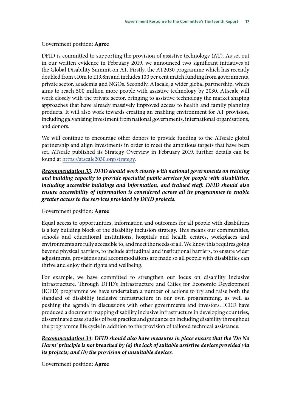#### Government position: **Agree**

DFID is committed to supporting the provision of assistive technology (AT). As set out in our written evidence in February 2019, we announced two significant initiatives at the Global Disability Summit on AT. Firstly, the AT2030 programme which has recently doubled from £10m to £19.8m and includes 100 per cent match funding from governments, private sector, academia and NGOs. Secondly, ATscale, a wider global partnership, which aims to reach 500 million more people with assistive technology by 2030. ATscale will work closely with the private sector, bringing to assistive technology the market shaping approaches that have already massively improved access to health and family planning products. It will also work towards creating an enabling environment for AT provision, including galvanising investment from national governments, international organisations, and donors.

We will continue to encourage other donors to provide funding to the ATscale global partnership and align investments in order to meet the ambitious targets that have been set. ATscale published its Strategy Overview in February 2019, further details can be found at [https://atscale2030.org/strategy.](https://atscale2030.org/strategy)

*Recommendation 33: DFID should work closely with national governments on training and building capacity to provide specialist public services for people with disabilities, including accessible buildings and information, and trained staff. DFID should also ensure accessibility of information is considered across all its programmes to enable greater access to the services provided by DFID projects.*

#### Government position: **Agree**

Equal access to opportunities, information and outcomes for all people with disabilities is a key building block of the disability inclusion strategy. This means our communities, schools and educational institutions, hospitals and health centres, workplaces and environments are fully accessible to, and meet the needs of all. We know this requires going beyond physical barriers, to include attitudinal and institutional barriers, to ensure wider adjustments, provisions and accommodations are made so all people with disabilities can thrive and enjoy their rights and wellbeing.

For example, we have committed to strengthen our focus on disability inclusive infrastructure. Through DFID's Infrastructure and Cities for Economic Development (ICED) programme we have undertaken a number of actions to try and raise both the standard of disability inclusive infrastructure in our own programming, as well as pushing the agenda in discussions with other governments and investors. ICED have produced a document mapping disability inclusive infrastructure in developing countries, disseminated case studies of best practice and guidance on including disability throughout the programme life cycle in addition to the provision of tailored technical assistance.

*Recommendation 34: DFID should also have measures in place ensure that the 'Do No Harm' principle is not breached by (a) the lack of suitable assistive devices provided via its projects; and (b) the provision of unsuitable devices.*

Government position: **Agree**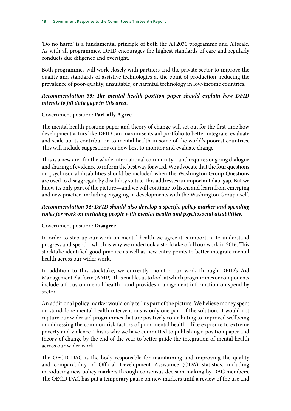'Do no harm' is a fundamental principle of both the AT2030 programme and ATscale. As with all programmes, DFID encourages the highest standards of care and regularly conducts due diligence and oversight.

Both programmes will work closely with partners and the private sector to improve the quality and standards of assistive technologies at the point of production, reducing the prevalence of poor-quality, unsuitable, or harmful technology in low-income countries.

# *Recommendation 35: The mental health position paper should explain how DFID intends to fill data gaps in this area.*

#### Government position: **Partially Agree**

The mental health position paper and theory of change will set out for the first time how development actors like DFID can maximise its aid portfolio to better integrate, evaluate and scale up its contribution to mental health in some of the world's poorest countries. This will include suggestions on how best to monitor and evaluate change.

This is a new area for the whole international community—and requires ongoing dialogue and sharing of evidence to inform the best way forward. We advocate that the four questions on psychosocial disabilities should be included when the Washington Group Questions are used to disaggregate by disability status. This addresses an important data gap. But we know its only part of the picture—and we will continue to listen and learn from emerging and new practice, including engaging in developments with the Washington Group itself.

# *Recommendation 36: DFID should also develop a specific policy marker and spending codes for work on including people with mental health and psychosocial disabilities.*

#### Government position: **Disagree**

In order to step up our work on mental health we agree it is important to understand progress and spend—which is why we undertook a stocktake of all our work in 2016. This stocktake identified good practice as well as new entry points to better integrate mental health across our wider work.

In addition to this stocktake, we currently monitor our work through DFID's Aid Management Platform (AMP). This enables us to look at which programmes or components include a focus on mental health—and provides management information on spend by sector.

An additional policy marker would only tell us part of the picture. We believe money spent on standalone mental health interventions is only one part of the solution. It would not capture our wider aid programmes that are positively contributing to improved wellbeing or addressing the common risk factors of poor mental health—like exposure to extreme poverty and violence. This is why we have committed to publishing a position paper and theory of change by the end of the year to better guide the integration of mental health across our wider work.

The OECD DAC is the body responsible for maintaining and improving the quality and comparability of Official Development Assistance (ODA) statistics, including introducing new policy markers through consensus decision making by DAC members. The OECD DAC has put a temporary pause on new markers until a review of the use and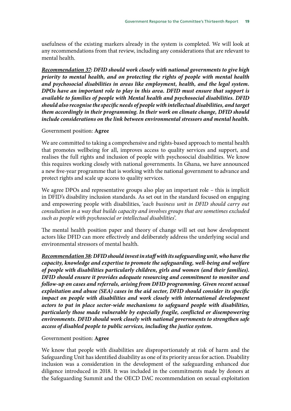usefulness of the existing markers already in the system is completed. We will look at any recommendations from that review, including any considerations that are relevant to mental health.

*Recommendation 37: DFID should work closely with national governments to give high priority to mental health, and on protecting the rights of people with mental health and psychosocial disabilities in areas like employment, health, and the legal system. DPOs have an important role to play in this area. DFID must ensure that support is available to families of people with Mental health and psychosocial disabilities. DFID should also recognise the specific needs of people with intellectual disabilities, and target them accordingly in their programming. In their work on climate change, DFID should include considerations on the link between environmental stressors and mental health.*

#### Government position: **Agree**

We are committed to taking a comprehensive and rights-based approach to mental health that promotes wellbeing for all, improves access to quality services and support, and realises the full rights and inclusion of people with psychosocial disabilities. We know this requires working closely with national governments. In Ghana, we have announced a new five-year programme that is working with the national government to advance and protect rights and scale up access to quality services.

We agree DPOs and representative groups also play an important role – this is implicit in DFID's disability inclusion standards. As set out in the standard focused on engaging and empowering people with disabilities, '*each business unit in DFID should carry out consultation in a way that builds capacity and involves groups that are sometimes excluded such as people with psychosocial or intellectual disabilities*'.

The mental health position paper and theory of change will set out how development actors like DFID can more effectively and deliberately address the underlying social and environmental stressors of mental health.

*Recommendation 38: DFID should invest in staff with its safeguarding unit, who have the capacity, knowledge and expertise to promote the safeguarding, well-being and welfare of people with disabilities particularly children, girls and women (and their families). DFID should ensure it provides adequate resourcing and commitment to monitor and follow-up on cases and referrals, arising from DFID programming. Given recent sexual exploitation and abuse (SEA) cases in the aid sector, DFID should consider its specific impact on people with disabilities and work closely with international development actors to put in place sector-wide mechanisms to safeguard people with disabilities, particularly those made vulnerable by especially fragile, conflicted or disempowering environments. DFID should work closely with national governments to strengthen safe access of disabled people to public services, including the justice system.*

#### Government position: **Agree**

We know that people with disabilities are disproportionately at risk of harm and the Safeguarding Unit has identified disability as one of its priority areas for action. Disability inclusion was a consideration in the development of the safeguarding enhanced due diligence introduced in 2018. It was included in the commitments made by donors at the Safeguarding Summit and the OECD DAC recommendation on sexual exploitation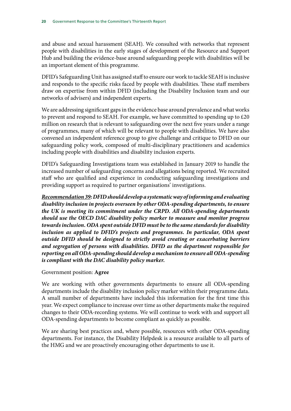and abuse and sexual harassment (SEAH). We consulted with networks that represent people with disabilities in the early stages of development of the Resource and Support Hub and building the evidence-base around safeguarding people with disabilities will be an important element of this programme.

DFID's Safeguarding Unit has assigned staff to ensure our work to tackle SEAH is inclusive and responds to the specific risks faced by people with disabilities. These staff members draw on expertise from within DFID (including the Disability Inclusion team and our networks of advisers) and independent experts.

We are addressing significant gaps in the evidence base around prevalence and what works to prevent and respond to SEAH. For example, we have committed to spending up to £20 million on research that is relevant to safeguarding over the next five years under a range of programmes, many of which will be relevant to people with disabilities. We have also convened an independent reference group to give challenge and critique to DFID on our safeguarding policy work, composed of multi-disciplinary practitioners and academics including people with disabilities and disability inclusion experts.

DFID's Safeguarding Investigations team was established in January 2019 to handle the increased number of safeguarding concerns and allegations being reported. We recruited staff who are qualified and experience in conducting safeguarding investigations and providing support as required to partner organisations' investigations.

*Recommendation 39: DFID should develop a systematic way of informing and evaluating disability inclusion in projects overseen by other ODA-spending departments, to ensure the UK is meeting its commitment under the CRPD. All ODA-spending departments should use the OECD DAC disability policy marker to measure and monitor progress towards inclusion. ODA spent outside DFID must be to the same standards for disability*  inclusion as applied to DFID's projects and programmes. In particular, ODA spent *outside DFID should be designed to strictly avoid creating or exacerbating barriers and segregation of persons with disabilities. DFID as the department responsible for reporting on all ODA-spending should develop a mechanism to ensure all ODA-spending is compliant with the DAC disability policy marker.*

#### Government position: **Agree**

We are working with other governments departments to ensure all ODA-spending departments include the disability inclusion policy marker within their programme data. A small number of departments have included this information for the first time this year. We expect compliance to increase over time as other departments make the required changes to their ODA-recording systems. We will continue to work with and support all ODA-spending departments to become compliant as quickly as possible.

We are sharing best practices and, where possible, resources with other ODA-spending departments. For instance, the Disability Helpdesk is a resource available to all parts of the HMG and we are proactively encouraging other departments to use it.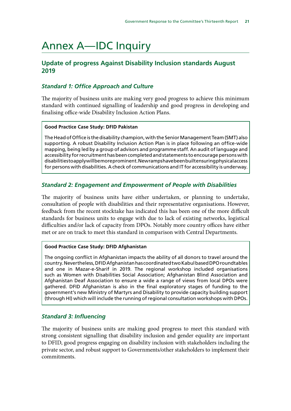# Annex A—IDC Inquiry

# **Update of progress Against Disability Inclusion standards August 2019**

# *Standard 1: Office Approach and Culture*

The majority of business units are making very good progress to achieve this minimum standard with continued signalling of leadership and good progress in developing and finalising office-wide Disability Inclusion Action Plans.

#### **Good Practice Case Study: DFID Pakistan**

The Head of Office is the disability champion, with the Senior Management Team (SMT) also supporting. A robust Disability Inclusion Action Plan is in place following an office-wide mapping, being led by a group of advisors and programme staff. An audit of language and accessibility for recruitment has been completed and statements to encourage persons with disabilities to apply will be more prominent. New ramps have been built ensuring physical access for persons with disabilities. A check of communications and IT for accessibility is underway.

# *Standard 2: Engagement and Empowerment of People with Disabilities*

The majority of business units have either undertaken, or planning to undertake, consultation of people with disabilities and their representative organisations. However, feedback from the recent stocktake has indicated this has been one of the more difficult standards for business units to engage with due to lack of existing networks, logistical difficulties and/or lack of capacity from DPOs. Notably more country offices have either met or are on track to meet this standard in comparison with Central Departments.

#### **Good Practice Case Study: DFID Afghanistan**

The ongoing conflict in Afghanistan impacts the ability of all donors to travel around the country. Nevertheless, DFID Afghanistan has coordinated two Kabul based DPO roundtables and one in Mazar-e-Sharif in 2019. The regional workshop included organisations such as Women with Disabilities Social Association; Afghanistan Blind Association and Afghanistan Deaf Association to ensure a wide a range of views from local DPOs were gathered. DFID Afghanistan is also in the final exploratory stages of funding to the government's new Ministry of Martyrs and Disability to provide capacity building support (through HI) which will include the running of regional consultation workshops with DPOs.

# *Standard 3: Influencing*

The majority of business units are making good progress to meet this standard with strong consistent signalling that disability inclusion and gender equality are important to DFID, good progress engaging on disability inclusion with stakeholders including the private sector, and robust support to Governments/other stakeholders to implement their commitments.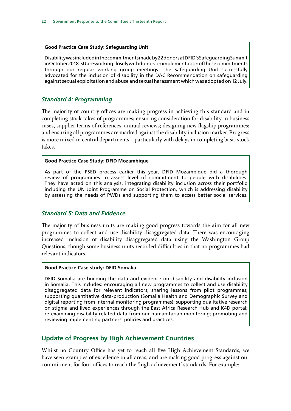#### **Good Practice Case Study: Safeguarding Unit**

Disability was included in the commitments made by 22 donors at DFID's Safeguarding Summit in October 2018. SU are working closely with donors on implementation of these commitments through our regular working group meetings. The Safeguarding Unit successfully advocated for the inclusion of disability in the DAC Recommendation on safeguarding against sexual exploitation and abuse and sexual harassment which was adopted on 12 July.

#### *Standard 4: Programming*

The majority of country offices are making progress in achieving this standard and in completing stock takes of programmes; ensuring consideration for disability in business cases, supplier terms of references, annual reviews; designing new flagship programmes; and ensuring all programmes are marked against the disability inclusion marker. Progress is more mixed in central departments—particularly with delays in completing basic stock takes.

#### **Good Practice Case Study: DFID Mozambique**

As part of the PSED process earlier this year, DFID Mozambique did a thorough review of programmes to assess level of commitment to people with disabilities. They have acted on this analysis, integrating disability inclusion across their portfolio including the UN Joint Programme on Social Protection, which is addressing disability by assessing the needs of PWDs and supporting them to access better social services.

#### *Standard 5: Data and Evidence*

The majority of business units are making good progress towards the aim for all new programmes to collect and use disability disaggregated data. There was encouraging increased inclusion of disability disaggregated data using the Washington Group Questions, though some business units recorded difficulties in that no programmes had relevant indicators.

#### **Good Practice Case study: DFID Somalia**

DFID Somalia are building the data and evidence on disability and disability inclusion in Somalia. This includes: encouraging all new programmes to collect and use disability disaggregated data for relevant indicators; sharing lessons from pilot programmes; supporting quantitative data-production (Somalia Health and Demographic Survey and digital reporting from internal monitoring programmes); supporting qualitative research on stigma and lived experiences through the East Africa Research Hub and K4D portal; re-examining disability-related data from our humanitarian monitoring; promoting and reviewing implementing partners' policies and practices.

#### **Update of Progress by High Achievement Countries**

Whilst no Country Office has yet to reach all five High Achievement Standards, we have seen examples of excellence in all areas, and are making good progress against our commitment for four offices to reach the 'high achievement' standards. For example: